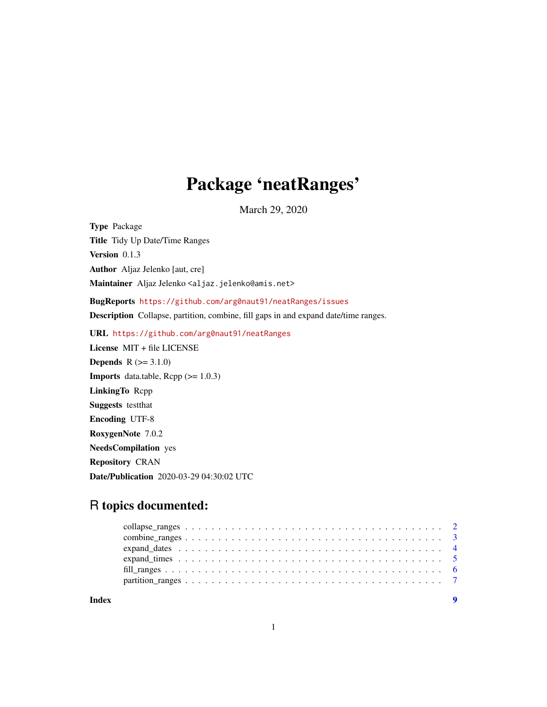## Package 'neatRanges'

March 29, 2020

Type Package

Title Tidy Up Date/Time Ranges

Version 0.1.3

Author Aljaz Jelenko [aut, cre]

Maintainer Aljaz Jelenko <aljaz.jelenko@amis.net>

BugReports <https://github.com/arg0naut91/neatRanges/issues>

Description Collapse, partition, combine, fill gaps in and expand date/time ranges.

URL <https://github.com/arg0naut91/neatRanges>

License MIT + file LICENSE **Depends**  $R (=3.1.0)$ **Imports** data.table,  $\text{Rcpp}$  ( $> = 1.0.3$ ) LinkingTo Rcpp Suggests testthat Encoding UTF-8 RoxygenNote 7.0.2 NeedsCompilation yes Repository CRAN Date/Publication 2020-03-29 04:30:02 UTC

### R topics documented:

**Index** [9](#page-8-0)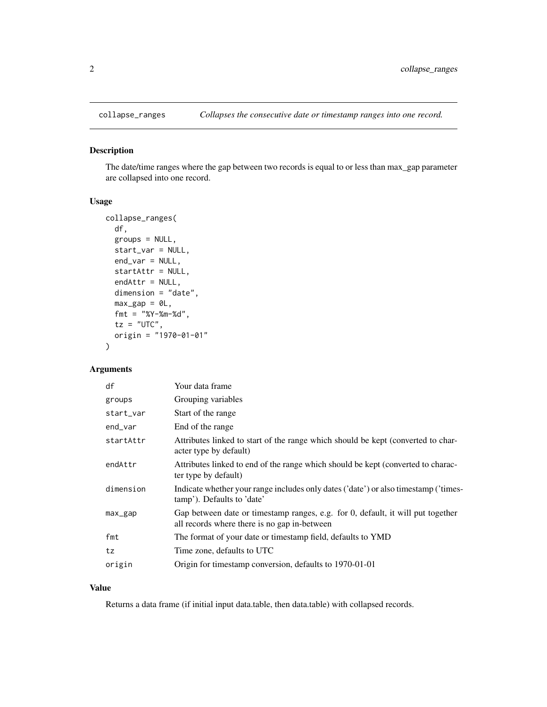<span id="page-1-0"></span>

#### Description

The date/time ranges where the gap between two records is equal to or less than max\_gap parameter are collapsed into one record.

#### Usage

```
collapse_ranges(
  df,
  groups = NULL,
  start_var = NULL,
  end_var = NULL,
  startAttr = NULL,
  endAttr = NULL,dimension = "date",
 max\_gap = 0L,
  fmt = "%Y-%m-%d",
  tz = "UTC",origin = "1970-01-01"
\lambda
```
#### Arguments

| df                 | Your data frame                                                                                                                 |
|--------------------|---------------------------------------------------------------------------------------------------------------------------------|
| groups             | Grouping variables                                                                                                              |
| start_var          | Start of the range                                                                                                              |
| end_var            | End of the range                                                                                                                |
| startAttr          | Attributes linked to start of the range which should be kept (converted to char-<br>acter type by default)                      |
| endAttr            | Attributes linked to end of the range which should be kept (converted to charac-<br>ter type by default)                        |
| dimension          | Indicate whether your range includes only dates ('date') or also timestamp ('times-<br>tamp'). Defaults to 'date'               |
| $max_{\text{gap}}$ | Gap between date or timestamp ranges, e.g. for 0, default, it will put together<br>all records where there is no gap in-between |
| fmt                | The format of your date or timestamp field, defaults to YMD                                                                     |
| tz                 | Time zone, defaults to UTC                                                                                                      |
| origin             | Origin for timestamp conversion, defaults to 1970-01-01                                                                         |

#### Value

Returns a data frame (if initial input data.table, then data.table) with collapsed records.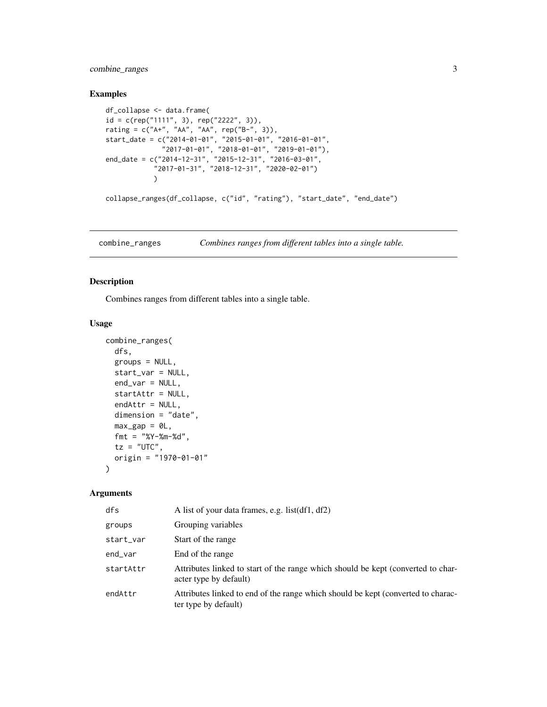<span id="page-2-0"></span>combine\_ranges 3

#### Examples

```
df_collapse <- data.frame(
id = c(rep("1111", 3), rep("2222", 3)),rating = c("A+", "AA", "AA", rep("B-", 3)),
start_date = c("2014-01-01", "2015-01-01", "2016-01-01",
              "2017-01-01", "2018-01-01", "2019-01-01"),
end_date = c("2014-12-31", "2015-12-31", "2016-03-01",
            "2017-01-31", "2018-12-31", "2020-02-01")
            )
collapse_ranges(df_collapse, c("id", "rating"), "start_date", "end_date")
```
combine\_ranges *Combines ranges from different tables into a single table.*

#### Description

Combines ranges from different tables into a single table.

#### Usage

```
combine_ranges(
  dfs,
  groups = NULL,
  start_var = NULL,
  end\_var = NULL,startAttr = NULL,
  endAttr = NULL,
 dimension = "date",
 max\_gap = 0L,
 fmt = "%Y-%m-%d",
  tz = "UTC",origin = "1970-01-01"
\lambda
```
#### Arguments

| dfs       | A list of your data frames, e.g. list(df1, df2)                                                            |
|-----------|------------------------------------------------------------------------------------------------------------|
| groups    | Grouping variables                                                                                         |
| start_var | Start of the range                                                                                         |
| end_var   | End of the range                                                                                           |
| startAttr | Attributes linked to start of the range which should be kept (converted to char-<br>acter type by default) |
| endAttr   | Attributes linked to end of the range which should be kept (converted to charac-<br>ter type by default)   |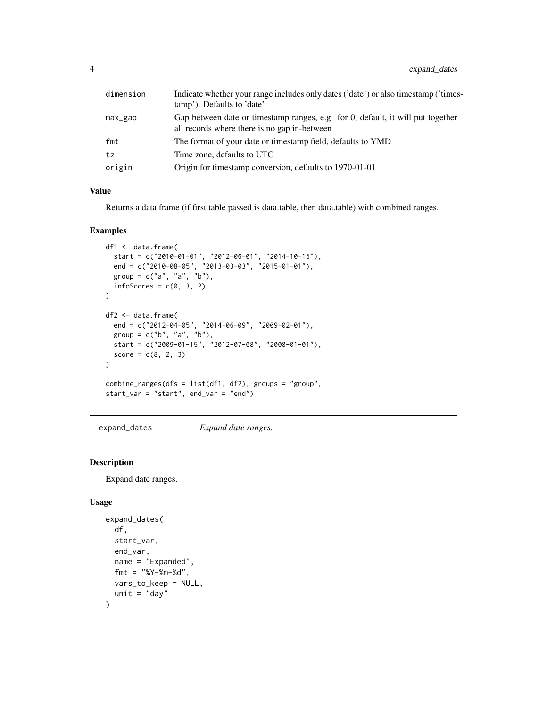<span id="page-3-0"></span>

| dimension | Indicate whether your range includes only dates ('date') or also timestamp ('times-<br>tamp'). Defaults to 'date'               |
|-----------|---------------------------------------------------------------------------------------------------------------------------------|
| max_gap   | Gap between date or timestamp ranges, e.g. for 0, default, it will put together<br>all records where there is no gap in-between |
| fmt       | The format of your date or timestamp field, defaults to YMD                                                                     |
| tz        | Time zone, defaults to UTC                                                                                                      |
| origin    | Origin for timestamp conversion, defaults to 1970-01-01                                                                         |

#### Value

Returns a data frame (if first table passed is data.table, then data.table) with combined ranges.

#### Examples

```
df1 <- data.frame(
  start = c("2010-01-01", "2012-06-01", "2014-10-15"),end = c("2010-08-05", "2013-03-03", "2015-01-01"),group = c("a", "a", "b"),infoScores = c(0, 3, 2)\mathcal{L}df2 <- data.frame(
  end = c("2012-04-05", "2014-06-09", "2009-02-01"),group = c("b", "a", "b"),start = c("2009-01-15", "2012-07-08", "2008-01-01"),
  score = c(8, 2, 3))
combine_ranges(dfs = list(df1, df2), groups = "group",
start_var = "start", end_var = "end")
```
expand\_dates *Expand date ranges.*

#### Description

Expand date ranges.

```
expand_dates(
  df,
  start_var,
  end_var,
 name = "Expanded",
  fmt = "XY - Xm - Xd",
 vars_to_keep = NULL,
  unit = "day")
```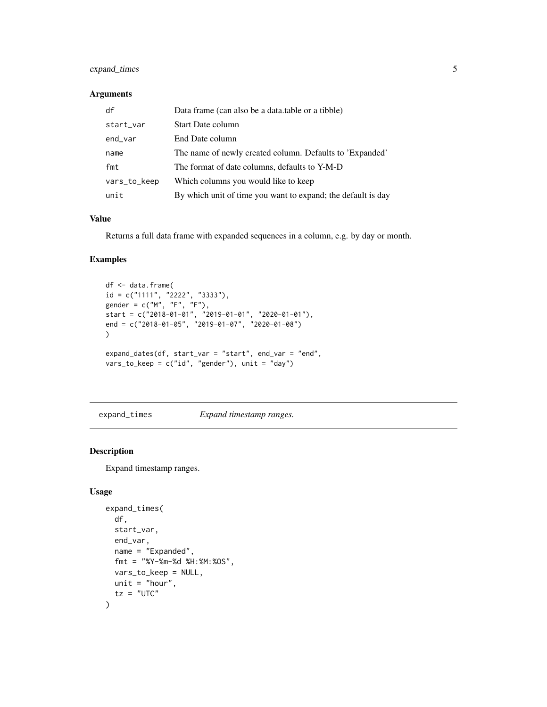#### <span id="page-4-0"></span>expand\_times 5

#### Arguments

| df           | Data frame (can also be a data table or a tibble)            |
|--------------|--------------------------------------------------------------|
| start_var    | <b>Start Date column</b>                                     |
| end_var      | End Date column                                              |
| name         | The name of newly created column. Defaults to 'Expanded'     |
| fmt          | The format of date columns, defaults to Y-M-D                |
| vars_to_keep | Which columns you would like to keep                         |
| unit         | By which unit of time you want to expand; the default is day |

#### Value

Returns a full data frame with expanded sequences in a column, e.g. by day or month.

#### Examples

```
df <- data.frame(
id = c("1111", "2222", "3333"),gender = c("M", "F", "F"),start = c("2018-01-01", "2019-01-01", "2020-01-01"),
end = c("2018-01-05", "2019-01-07", "2020-01-08")
)
expand_dates(df, start_var = "start", end_var = "end",
vars_to_keep = c("id", "gender"), unit = "day")
```
expand\_times *Expand timestamp ranges.*

#### Description

Expand timestamp ranges.

```
expand_times(
  df,
  start_var,
 end_var,
 name = "Expanded",
 fmt = "%Y-%m-%d %H:%M:%OS",
 vars_to_keep = NULL,
 unit = "hour",tz = "UTC"\mathcal{E}
```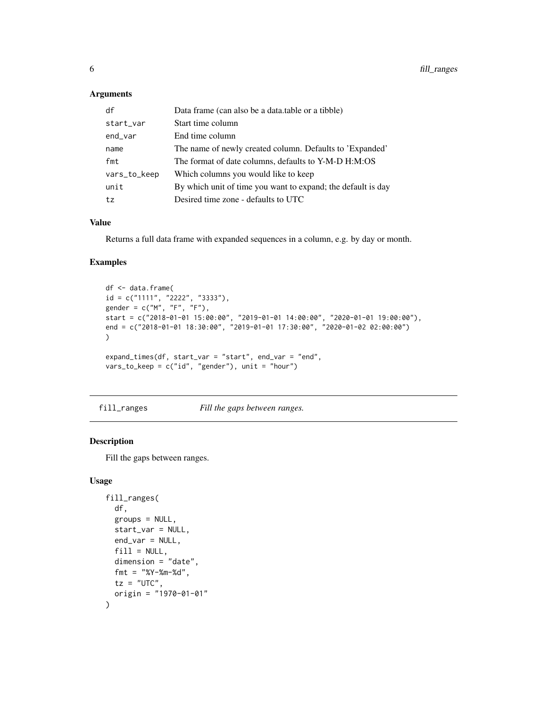#### <span id="page-5-0"></span>Arguments

| df           | Data frame (can also be a data table or a tibble)            |
|--------------|--------------------------------------------------------------|
| start_var    | Start time column                                            |
| end_var      | End time column                                              |
| name         | The name of newly created column. Defaults to 'Expanded'     |
| fmt          | The format of date columns, defaults to Y-M-D H:M:OS         |
| vars_to_keep | Which columns you would like to keep                         |
| unit         | By which unit of time you want to expand; the default is day |
| tz           | Desired time zone - defaults to UTC                          |

#### Value

Returns a full data frame with expanded sequences in a column, e.g. by day or month.

#### Examples

```
df <- data.frame(
id = c("1111", "2222", "3333"),
gender = c("M", "F", "F"),start = c("2018-01-01 15:00:00", "2019-01-01 14:00:00", "2020-01-01 19:00:00"),end = c("2018-01-01 18:30:00", "2019-01-01 17:30:00", "2020-01-02 02:00:00")
\lambdaexpand_times(df, start_var = "start", end_var = "end",
vars_to_keep = c("id", "gender"), unit = "hour")
```
fill\_ranges *Fill the gaps between ranges.*

#### Description

Fill the gaps between ranges.

```
fill_ranges(
  df,
  groups = NULL,
  start_var = NULL,
 end_var = NULL,
  fill = NULL,dimension = "date",
  fmt = "XY - Xm - Xd",tz = "UTC",origin = "1970-01-01"
)
```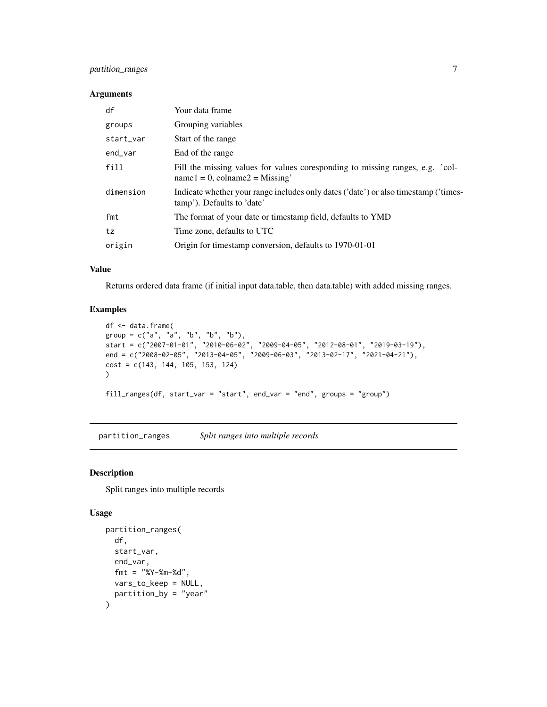#### <span id="page-6-0"></span>partition\_ranges 7

#### Arguments

| df        | Your data frame                                                                                                      |
|-----------|----------------------------------------------------------------------------------------------------------------------|
| groups    | Grouping variables                                                                                                   |
| start_var | Start of the range                                                                                                   |
| end_var   | End of the range                                                                                                     |
| fill      | Fill the missing values for values coresponding to missing ranges, e.g. 'col-<br>$name1 = 0$ , $colname2 = Missing'$ |
| dimension | Indicate whether your range includes only dates ('date') or also timestamp ('times-<br>tamp'). Defaults to 'date'    |
| fmt       | The format of your date or timestamp field, defaults to YMD                                                          |
| tz        | Time zone, defaults to UTC                                                                                           |
| origin    | Origin for timestamp conversion, defaults to 1970-01-01                                                              |

#### Value

Returns ordered data frame (if initial input data.table, then data.table) with added missing ranges.

#### Examples

```
df <- data.frame(
group = c("a", "a", "b", "b", "b"),
start = c("2007-01-01", "2010-06-02", "2009-04-05", "2012-08-01", "2019-03-19"),
end = c("2008-02-05", "2013-04-05", "2009-06-03", "2013-02-17", "2021-04-21"),
cost = c(143, 144, 105, 153, 124)
)
fill_ranges(df, start_var = "start", end_var = "end", groups = "group")
```
partition\_ranges *Split ranges into multiple records*

#### Description

Split ranges into multiple records

```
partition_ranges(
  df,
  start_var,
  end_var,
  fmt = "%Y-%m-%d",vars_to_keep = NULL,
  partition_by = "year"
\mathcal{E}
```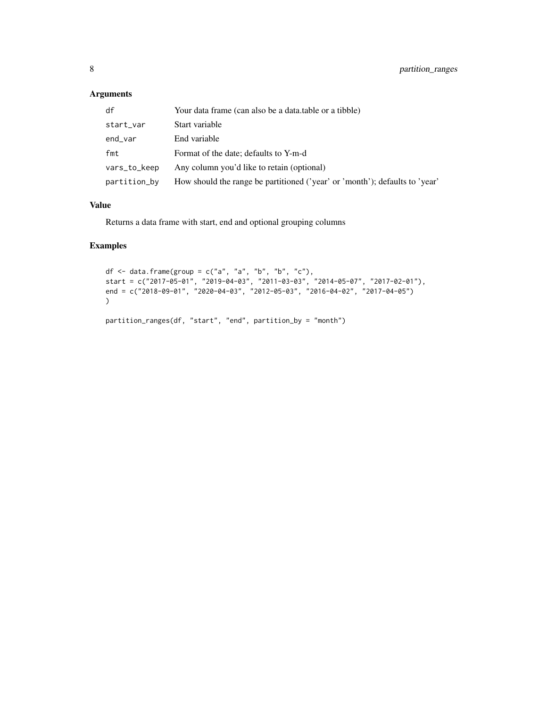#### Arguments

| df           | Your data frame (can also be a data.table or a tibble)                      |
|--------------|-----------------------------------------------------------------------------|
| start_var    | Start variable                                                              |
| end_var      | End variable                                                                |
| fmt          | Format of the date; defaults to Y-m-d                                       |
| vars_to_keep | Any column you'd like to retain (optional)                                  |
| partition_by | How should the range be partitioned ('year' or 'month'); defaults to 'year' |

#### Value

Returns a data frame with start, end and optional grouping columns

#### Examples

```
df \le data.frame(group = c("a", "a", "b", "b", "c"),
start = c("2017-05-01", "2019-04-03", "2011-03-03", "2014-05-07", "2017-02-01"),
end = c("2018-09-01", "2020-04-03", "2012-05-03", "2016-04-02", "2017-04-05")
\lambdapartition_ranges(df, "start", "end", partition_by = "month")
```